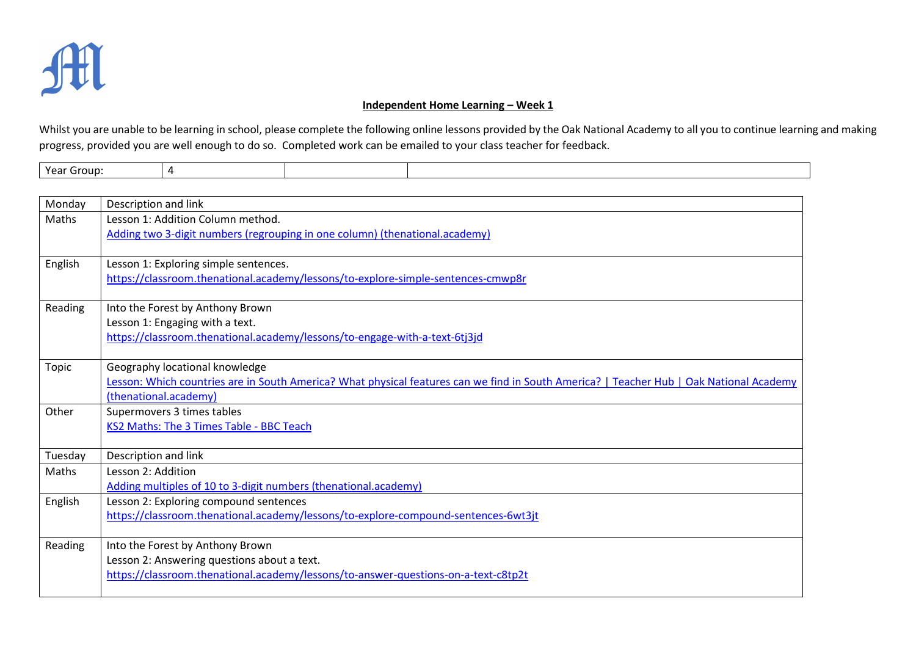

## Independent Home Learning - Week 1

Whilst you are unable to be learning in school, please complete the following online lessons provided by the Oak National Academy to all you to continue learning and making progress, provided you are well enough to do so. Completed work can be emailed to your class teacher for feedback.

|  | Year Group: | $\Lambda$ |  |  |  |
|--|-------------|-----------|--|--|--|
|--|-------------|-----------|--|--|--|

| Monday  | Description and link                                                                                                                                             |
|---------|------------------------------------------------------------------------------------------------------------------------------------------------------------------|
| Maths   | Lesson 1: Addition Column method.                                                                                                                                |
|         | Adding two 3-digit numbers (regrouping in one column) (thenational.academy)                                                                                      |
|         |                                                                                                                                                                  |
| English | Lesson 1: Exploring simple sentences.                                                                                                                            |
|         | https://classroom.thenational.academy/lessons/to-explore-simple-sentences-cmwp8r                                                                                 |
| Reading | Into the Forest by Anthony Brown                                                                                                                                 |
|         | Lesson 1: Engaging with a text.                                                                                                                                  |
|         | https://classroom.thenational.academy/lessons/to-engage-with-a-text-6tj3jd                                                                                       |
|         |                                                                                                                                                                  |
| Topic   | Geography locational knowledge                                                                                                                                   |
|         | Lesson: Which countries are in South America? What physical features can we find in South America?   Teacher Hub   Oak National Academy<br>(thenational.academy) |
| Other   | Supermovers 3 times tables                                                                                                                                       |
|         | KS2 Maths: The 3 Times Table - BBC Teach                                                                                                                         |
|         |                                                                                                                                                                  |
| Tuesday | Description and link                                                                                                                                             |
| Maths   | Lesson 2: Addition                                                                                                                                               |
|         | Adding multiples of 10 to 3-digit numbers (thenational.academy)                                                                                                  |
| English | Lesson 2: Exploring compound sentences                                                                                                                           |
|         | https://classroom.thenational.academy/lessons/to-explore-compound-sentences-6wt3jt                                                                               |
|         |                                                                                                                                                                  |
| Reading | Into the Forest by Anthony Brown<br>Lesson 2: Answering questions about a text.                                                                                  |
|         | https://classroom.thenational.academy/lessons/to-answer-questions-on-a-text-c8tp2t                                                                               |
|         |                                                                                                                                                                  |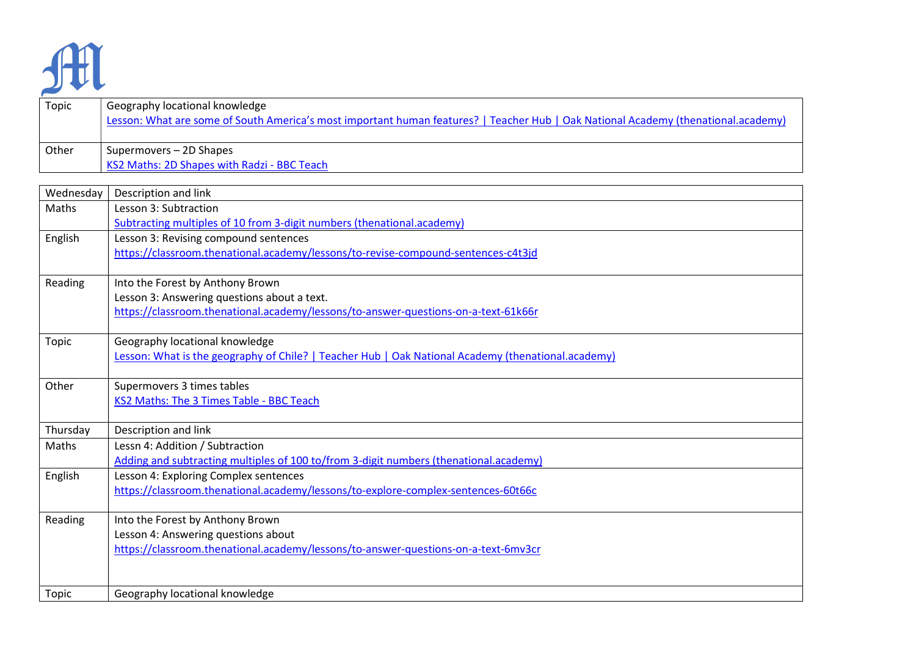

| Topic | Geography locational knowledge<br>Lesson: What are some of South America's most important human features?   Teacher Hub   Oak National Academy (thenational.academy) |
|-------|----------------------------------------------------------------------------------------------------------------------------------------------------------------------|
| Other | Supermovers - 2D Shapes                                                                                                                                              |
|       | KS2 Maths: 2D Shapes with Radzi - BBC Teach                                                                                                                          |

| Wednesday    | Description and link                                                                               |
|--------------|----------------------------------------------------------------------------------------------------|
| Maths        | Lesson 3: Subtraction                                                                              |
|              | Subtracting multiples of 10 from 3-digit numbers (thenational.academy)                             |
| English      | Lesson 3: Revising compound sentences                                                              |
|              | https://classroom.thenational.academy/lessons/to-revise-compound-sentences-c4t3jd                  |
|              |                                                                                                    |
| Reading      | Into the Forest by Anthony Brown                                                                   |
|              | Lesson 3: Answering questions about a text.                                                        |
|              | https://classroom.thenational.academy/lessons/to-answer-questions-on-a-text-61k66r                 |
| <b>Topic</b> | Geography locational knowledge                                                                     |
|              | Lesson: What is the geography of Chile?   Teacher Hub   Oak National Academy (thenational.academy) |
|              |                                                                                                    |
| Other        | Supermovers 3 times tables                                                                         |
|              | KS2 Maths: The 3 Times Table - BBC Teach                                                           |
| Thursday     | Description and link                                                                               |
| Maths        | Lessn 4: Addition / Subtraction                                                                    |
|              | Adding and subtracting multiples of 100 to/from 3-digit numbers (thenational.academy)              |
| English      | Lesson 4: Exploring Complex sentences                                                              |
|              | https://classroom.thenational.academy/lessons/to-explore-complex-sentences-60t66c                  |
| Reading      | Into the Forest by Anthony Brown                                                                   |
|              | Lesson 4: Answering questions about                                                                |
|              | https://classroom.thenational.academy/lessons/to-answer-questions-on-a-text-6mv3cr                 |
|              |                                                                                                    |
| Topic        | Geography locational knowledge                                                                     |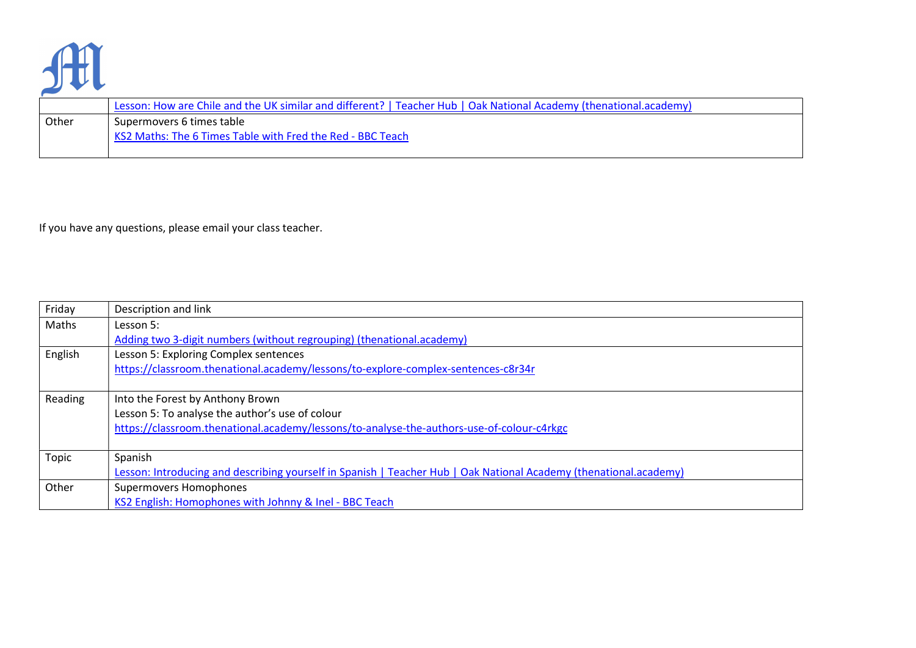

|       | Lesson: How are Chile and the UK similar and different?   Teacher Hub   Oak National Academy (thenational.academy) |  |
|-------|--------------------------------------------------------------------------------------------------------------------|--|
| Other | Supermovers 6 times table                                                                                          |  |
|       | KS2 Maths: The 6 Times Table with Fred the Red - BBC Teach                                                         |  |

If you have any questions, please email your class teacher.

| Friday  | Description and link                                                                                              |
|---------|-------------------------------------------------------------------------------------------------------------------|
| Maths   | Lesson 5:                                                                                                         |
|         | Adding two 3-digit numbers (without regrouping) (thenational.academy)                                             |
| English | Lesson 5: Exploring Complex sentences                                                                             |
|         | https://classroom.thenational.academy/lessons/to-explore-complex-sentences-c8r34r                                 |
|         |                                                                                                                   |
| Reading | Into the Forest by Anthony Brown                                                                                  |
|         | Lesson 5: To analyse the author's use of colour                                                                   |
|         | https://classroom.thenational.academy/lessons/to-analyse-the-authors-use-of-colour-c4rkgc                         |
|         |                                                                                                                   |
| Topic   | Spanish                                                                                                           |
|         | Lesson: Introducing and describing yourself in Spanish   Teacher Hub   Oak National Academy (thenational.academy) |
| Other   | Supermovers Homophones                                                                                            |
|         | KS2 English: Homophones with Johnny & Inel - BBC Teach                                                            |